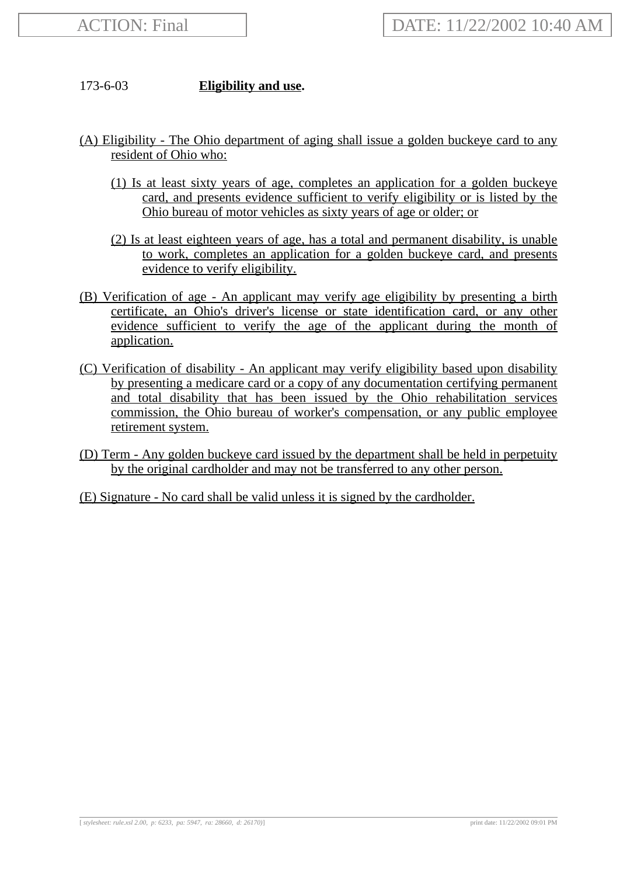## 173-6-03 **Eligibility and use.**

- (A) Eligibility The Ohio department of aging shall issue a golden buckeye card to any resident of Ohio who:
	- (1) Is at least sixty years of age, completes an application for a golden buckeye card, and presents evidence sufficient to verify eligibility or is listed by the Ohio bureau of motor vehicles as sixty years of age or older; or
	- (2) Is at least eighteen years of age, has a total and permanent disability, is unable to work, completes an application for a golden buckeye card, and presents evidence to verify eligibility.
- (B) Verification of age An applicant may verify age eligibility by presenting a birth certificate, an Ohio's driver's license or state identification card, or any other evidence sufficient to verify the age of the applicant during the month of application.
- (C) Verification of disability An applicant may verify eligibility based upon disability by presenting a medicare card or a copy of any documentation certifying permanent and total disability that has been issued by the Ohio rehabilitation services commission, the Ohio bureau of worker's compensation, or any public employee retirement system.
- (D) Term Any golden buckeye card issued by the department shall be held in perpetuity by the original cardholder and may not be transferred to any other person.
- (E) Signature No card shall be valid unless it is signed by the cardholder.